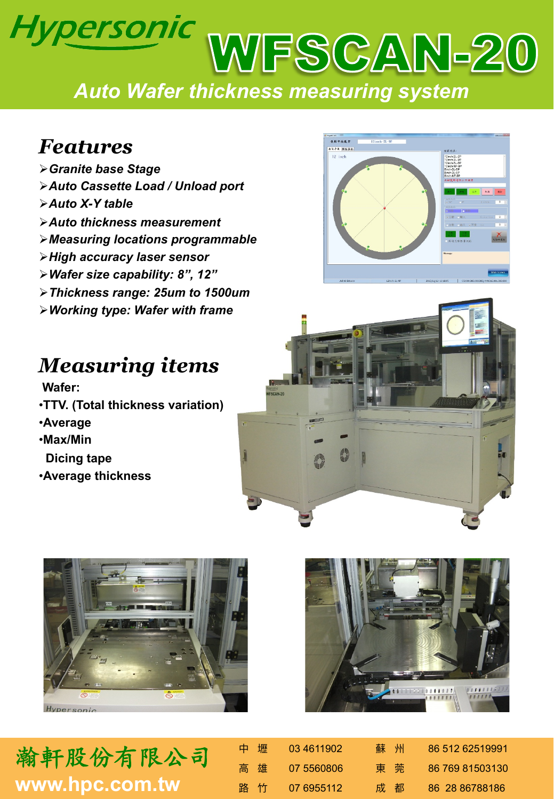## Hypersonic WFSCAN-20 *Auto Wafer thickness measuring system*

## *Features*

Ø*Granite base Stage*  Ø*Auto Cassette Load / Unload port*  Ø*Auto X-Y table*  Ø*Auto thickness measurement*  Ø*Measuring locations programmable*  Ø*High accuracy laser sensor*  Ø*Wafer size capability: 8", 12"* Ø*Thickness range: 25um to 1500um*  Ø*Working type: Wafer with frame* 

## *Measuring items*

 **Wafer:** 

- •**TTV. (Total thickness variation)**
- •**Average**
- •**Max/Min**
- **Dicing tape**
- •**Average thickness**











| 中壢  | 03 4611902 | 蘇州 | 86 512 62519991 |
|-----|------------|----|-----------------|
| 高雄  | 07 5560806 | 東莞 | 86 769 81503130 |
| 路 竹 | 07 6955112 | 成都 | 86 28 86788186  |